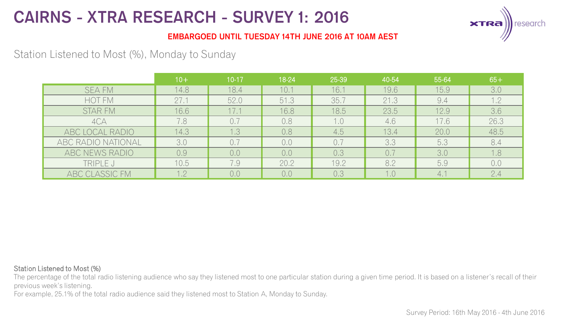

### **EMBARGOED UNTIL TUESDAY 14TH JUNE 2016 AT 10AM AEST**

## Station Listened to Most (%), Monday to Sunday

|                    | $10+$ | $10-17$ | 18-24 | 25-39 | 40-54 | 55-64 | $65+$ |
|--------------------|-------|---------|-------|-------|-------|-------|-------|
| <b>SEA FM</b>      | 14.8  | 18.4    | 10.1  | 16.1  | 19.6  | 15.9  | 3.0   |
| HOT FM             | 27.1  | 52.0    | 51.3  | 35.7  | 21.3  | 9.4   | 1.2   |
| <b>STAR FM</b>     | 16.6  | 17.1    | 16.8  | 18.5  | 23.5  | 12.9  | 3.6   |
| 4CA                | 7.8   | 0.7     | 0.8   | 1.0   | 4.6   | 17.6  | 26.3  |
| ABC LOCAL RADIO    | 14.3  | 1.3     | 0.8   | 4.5   | 13.4  | 20.0  | 48.5  |
| ABC RADIO NATIONAL | 3.0   | 0.7     | 0.0   | 0.7   | 3.3   | 5.3   | 8.4   |
| ABC NEWS RADIO     | 0,9   | 0,0     | 0.0   | 0.3   | 0.7   | 3.0   | 1.8   |
| TRIPLE J           | 10.5  | 7.9     | 20.2  | 19.2  | 8.2   | 5.9   | 0,0   |
| ABC CLASSIC FM     | 1.2   | 0.0     | 0.0   | 0.3   | 1.0   | 4.1   | 2.4   |

#### Station Listened to Most (%)

The percentage of the total radio listening audience who say they listened most to one particular station during a given time period. It is based on a listener's recall of their previous week's listening.

For example, 25.1% of the total radio audience said they listened most to Station A, Monday to Sunday.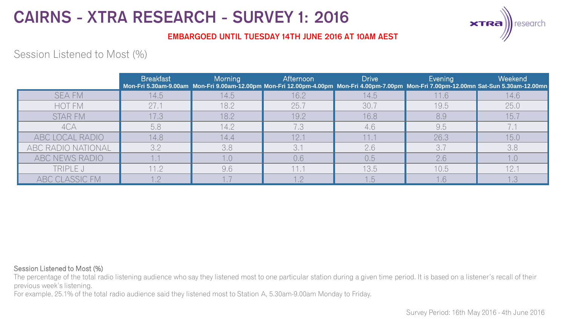

### **EMBARGOED UNTIL TUESDAY 14TH JUNE 2016 AT 10AM AEST**

## Session Listened to Most (%)

|                    | <b>Breakfast</b> | Morning | Afternoon | <b>Drive</b> | Evening | Weekend<br>Mon-Fri 5.30am-9.00am Mon-Fri 9.00am-12.00pm Mon-Fri 12.00pm-4.00pm Mon-Fri 4.00pm-7.00pm Mon-Fri 7.00pm-12.00mn Sat-Sun 5.30am-12.00mn |
|--------------------|------------------|---------|-----------|--------------|---------|----------------------------------------------------------------------------------------------------------------------------------------------------|
| <b>SEA FM</b>      | 14.5             | 14.5    | 16.2      | 14.5         | 11.6    | 14.6                                                                                                                                               |
| <b>HOT FM</b>      | 27.1             | 18.2    | 25.7      | 30.7         | 19.5    | 25.0                                                                                                                                               |
| <b>STAR FM</b>     | 17.3             | 18.2    | 19.2      | 16.8         | 8,9     | 15.7                                                                                                                                               |
| 4CA                | 5.8              | 14.2    | 7.3       | 4.6          | 9.5     |                                                                                                                                                    |
| ABC LOCAL RADIO    | 14.8             | 14.4    | 12.1      | 11.1         | 26.3    | 15.0                                                                                                                                               |
| ABC RADIO NATIONAL | 3.2              | 3.8     | 3.7       | 2.6          | 3.7     | 3.8                                                                                                                                                |
| ABC NEWS RADIO     |                  |         | 0,6       | 0,5          | 2.6     | 1.0                                                                                                                                                |
| TRIPLE J           | 11.2             | 9.6     | 11.1      | 13.5         | 10.5    | 12.7                                                                                                                                               |
| ABC CLASSIC FM     |                  |         | 1 の       | 1.5          | 1.6     | 1.3                                                                                                                                                |

#### Session Listened to Most (%)

The percentage of the total radio listening audience who say they listened most to one particular station during a given time period. It is based on a listener's recall of their previous week's listening.

For example, 25.1% of the total radio audience said they listened most to Station A, 5.30am-9.00am Monday to Friday.

Survey Period: 16th May 2016 - 4th June 2016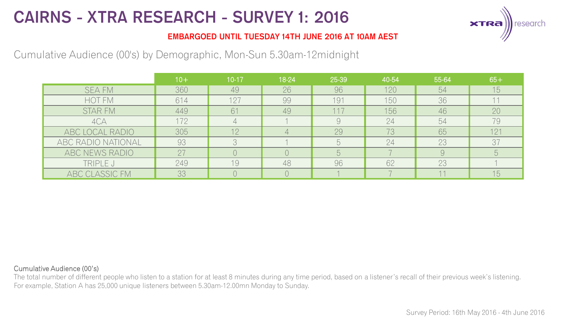

### **EMBARGOED UNTIL TUESDAY 14TH JUNE 2016 AT 10AM AEST**

## Cumulative Audience (00's) by Demographic, Mon-Sun 5.30am-12midnight

|                    | $10+$ | $10-17$ | 18-24 | 25-39 | 40-54 | 55-64 | $65+$           |
|--------------------|-------|---------|-------|-------|-------|-------|-----------------|
| <b>SEA FM</b>      | 360   | 49      | 26    | 96    | 120   | 54    | 15              |
| <b>HOT FM</b>      | 614   | 127     | 99    | 191   | 150   | 36    |                 |
| <b>STAR FM</b>     | 449   | 61      | 49    | 117   | 156   | 46    | 20              |
| 4CA                | 172   |         |       | 9     | 24    | 54    | 79              |
| ABC LOCAL RADIO    | 305   | 12      |       | 29    | 73    | 65    | 121             |
| ABC RADIO NATIONAL | 93    |         |       | h     | 24    | 23    | 3 <sup>7</sup>  |
| ABC NEWS RADIO     | 27    |         |       | 5     |       |       | $5\overline{)}$ |
| TRIPLE J           | 249   | 19      | 48    | 96    | 62    | 23    |                 |
| ABC CLASSIC FM     | 33    |         |       |       |       |       | 15 <sub>1</sub> |

#### Cumulative Audience (00's)

The total number of different people who listen to a station for at least 8 minutes during any time period, based on a listener's recall of their previous week's listening. For example, Station A has 25,000 unique listeners between 5.30am-12.00mn Monday to Sunday.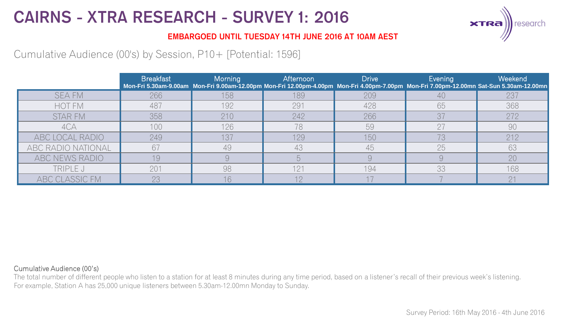

### **EMBARGOED UNTIL TUESDAY 14TH JUNE 2016 AT 10AM AEST**

Cumulative Audience (00's) by Session, P10+ [Potential: 1596]

|                    | <b>Breakfast</b> | Morning | Afternoon | <b>Drive</b> | Evening | Weekend<br>Mon-Fri 5.30am-9.00am Mon-Fri 9.00am-12.00pm Mon-Fri 12.00pm-4.00pm Mon-Fri 4.00pm-7.00pm Mon-Fri 7.00pm-12.00mn Sat-Sun 5.30am-12.00mn |
|--------------------|------------------|---------|-----------|--------------|---------|----------------------------------------------------------------------------------------------------------------------------------------------------|
| <b>SEA FM</b>      | 266              | 158     | 189       | 209          |         | 237                                                                                                                                                |
| <b>HOT FM</b>      | 487              | 192     | 291       | 428          | 65      | 368                                                                                                                                                |
| STAR FM            | 358              | 210     | 242       | 266          | 37      | 272                                                                                                                                                |
| 4CA                | 100              | 126     | 78        | 59           | 27      | 90                                                                                                                                                 |
| ABC LOCAL RADIO    | 249              | 137     | 129       | 150          | 73      | 212                                                                                                                                                |
| ABC RADIO NATIONAL | 67               | 49      | 43        | 45           | 25      | 63                                                                                                                                                 |
| ABC NEWS RADIO     | 19               |         |           |              |         | 20                                                                                                                                                 |
| TRIPLE J           | 201              | 98      | 121       | 194          | 33      | 168                                                                                                                                                |
| ABC CLASSIC FM     | 23               | 16      |           |              |         | $\bigcap$ 1                                                                                                                                        |

#### Cumulative Audience (00's)

The total number of different people who listen to a station for at least 8 minutes during any time period, based on a listener's recall of their previous week's listening. For example, Station A has 25,000 unique listeners between 5.30am-12.00mn Monday to Sunday.